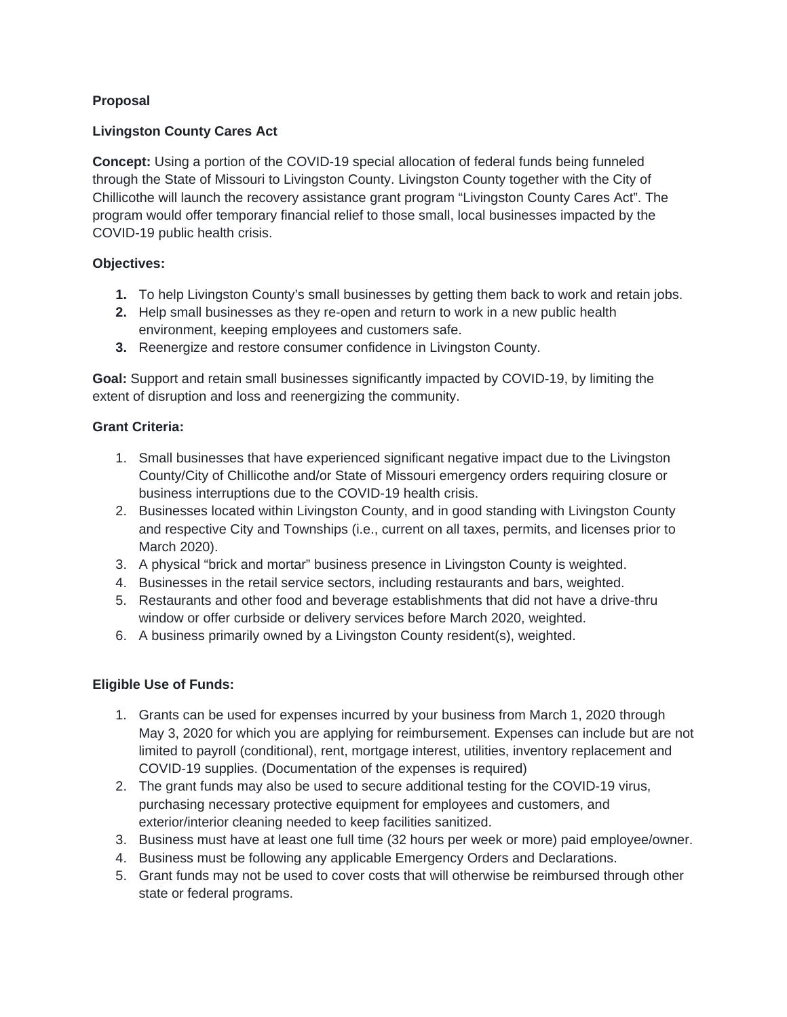# **Proposal**

# **Livingston County Cares Act**

**Concept:** Using a portion of the COVID-19 special allocation of federal funds being funneled through the State of Missouri to Livingston County. Livingston County together with the City of Chillicothe will launch the recovery assistance grant program "Livingston County Cares Act". The program would offer temporary financial relief to those small, local businesses impacted by the COVID-19 public health crisis.

## **Objectives:**

- **1.** To help Livingston County's small businesses by getting them back to work and retain jobs.
- **2.** Help small businesses as they re-open and return to work in a new public health environment, keeping employees and customers safe.
- **3.** Reenergize and restore consumer confidence in Livingston County.

**Goal:** Support and retain small businesses significantly impacted by COVID-19, by limiting the extent of disruption and loss and reenergizing the community.

## **Grant Criteria:**

- 1. Small businesses that have experienced significant negative impact due to the Livingston County/City of Chillicothe and/or State of Missouri emergency orders requiring closure or business interruptions due to the COVID-19 health crisis.
- 2. Businesses located within Livingston County, and in good standing with Livingston County and respective City and Townships (i.e., current on all taxes, permits, and licenses prior to March 2020).
- 3. A physical "brick and mortar" business presence in Livingston County is weighted.
- 4. Businesses in the retail service sectors, including restaurants and bars, weighted.
- 5. Restaurants and other food and beverage establishments that did not have a drive-thru window or offer curbside or delivery services before March 2020, weighted.
- 6. A business primarily owned by a Livingston County resident(s), weighted.

## **Eligible Use of Funds:**

- 1. Grants can be used for expenses incurred by your business from March 1, 2020 through May 3, 2020 for which you are applying for reimbursement. Expenses can include but are not limited to payroll (conditional), rent, mortgage interest, utilities, inventory replacement and COVID-19 supplies. (Documentation of the expenses is required)
- 2. The grant funds may also be used to secure additional testing for the COVID-19 virus, purchasing necessary protective equipment for employees and customers, and exterior/interior cleaning needed to keep facilities sanitized.
- 3. Business must have at least one full time (32 hours per week or more) paid employee/owner.
- 4. Business must be following any applicable Emergency Orders and Declarations.
- 5. Grant funds may not be used to cover costs that will otherwise be reimbursed through other state or federal programs.